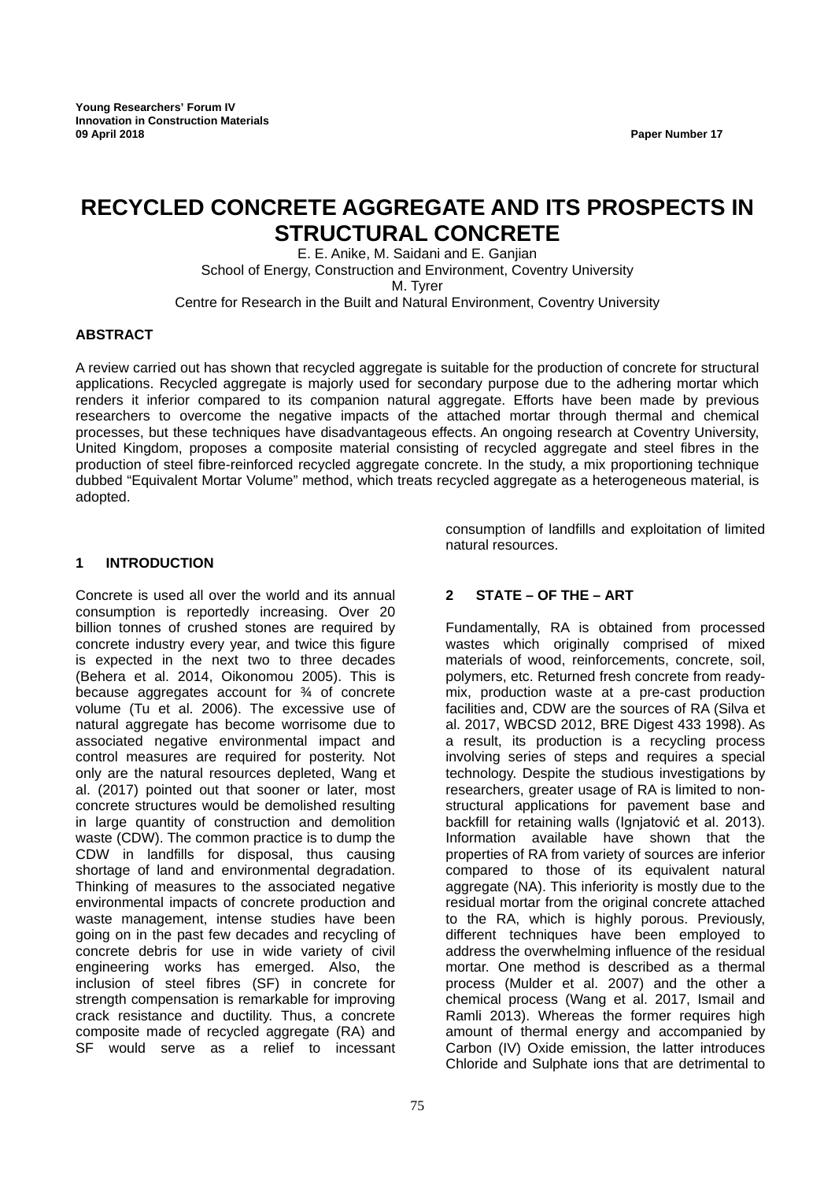# **RECYCLED CONCRETE AGGREGATE AND ITS PROSPECTS IN STRUCTURAL CONCRETE**

E. E. Anike, M. Saidani and E. Ganjian School of Energy, Construction and Environment, Coventry University M. Tyrer Centre for Research in the Built and Natural Environment, Coventry University

#### **ABSTRACT**

A review carried out has shown that recycled aggregate is suitable for the production of concrete for structural applications. Recycled aggregate is majorly used for secondary purpose due to the adhering mortar which renders it inferior compared to its companion natural aggregate. Efforts have been made by previous researchers to overcome the negative impacts of the attached mortar through thermal and chemical processes, but these techniques have disadvantageous effects. An ongoing research at Coventry University, United Kingdom, proposes a composite material consisting of recycled aggregate and steel fibres in the production of steel fibre-reinforced recycled aggregate concrete. In the study, a mix proportioning technique dubbed "Equivalent Mortar Volume" method, which treats recycled aggregate as a heterogeneous material, is adopted.

#### **1 INTRODUCTION**

Concrete is used all over the world and its annual consumption is reportedly increasing. Over 20 billion tonnes of crushed stones are required by concrete industry every year, and twice this figure is expected in the next two to three decades (Behera et al. 2014, Oikonomou 2005). This is because aggregates account for ¾ of concrete volume (Tu et al. 2006). The excessive use of natural aggregate has become worrisome due to associated negative environmental impact and control measures are required for posterity. Not only are the natural resources depleted, Wang et al. (2017) pointed out that sooner or later, most concrete structures would be demolished resulting in large quantity of construction and demolition waste (CDW). The common practice is to dump the CDW in landfills for disposal, thus causing shortage of land and environmental degradation. Thinking of measures to the associated negative environmental impacts of concrete production and waste management, intense studies have been going on in the past few decades and recycling of concrete debris for use in wide variety of civil engineering works has emerged. Also, the inclusion of steel fibres (SF) in concrete for strength compensation is remarkable for improving crack resistance and ductility. Thus, a concrete composite made of recycled aggregate (RA) and SF would serve as a relief to incessant

consumption of landfills and exploitation of limited natural resources.

# **2 STATE – OF THE – ART**

Fundamentally, RA is obtained from processed wastes which originally comprised of mixed materials of wood, reinforcements, concrete, soil, polymers, etc. Returned fresh concrete from readymix, production waste at a pre-cast production facilities and, CDW are the sources of RA (Silva et al. 2017, WBCSD 2012, BRE Digest 433 1998). As a result, its production is a recycling process involving series of steps and requires a special technology. Despite the studious investigations by researchers, greater usage of RA is limited to nonstructural applications for pavement base and backfill for retaining walls (Ignjatović et al. 2013). Information available have shown that the properties of RA from variety of sources are inferior compared to those of its equivalent natural aggregate (NA). This inferiority is mostly due to the residual mortar from the original concrete attached to the RA, which is highly porous. Previously, different techniques have been employed to address the overwhelming influence of the residual mortar. One method is described as a thermal process (Mulder et al. 2007) and the other a chemical process (Wang et al. 2017, Ismail and Ramli 2013). Whereas the former requires high amount of thermal energy and accompanied by Carbon (IV) Oxide emission, the latter introduces Chloride and Sulphate ions that are detrimental to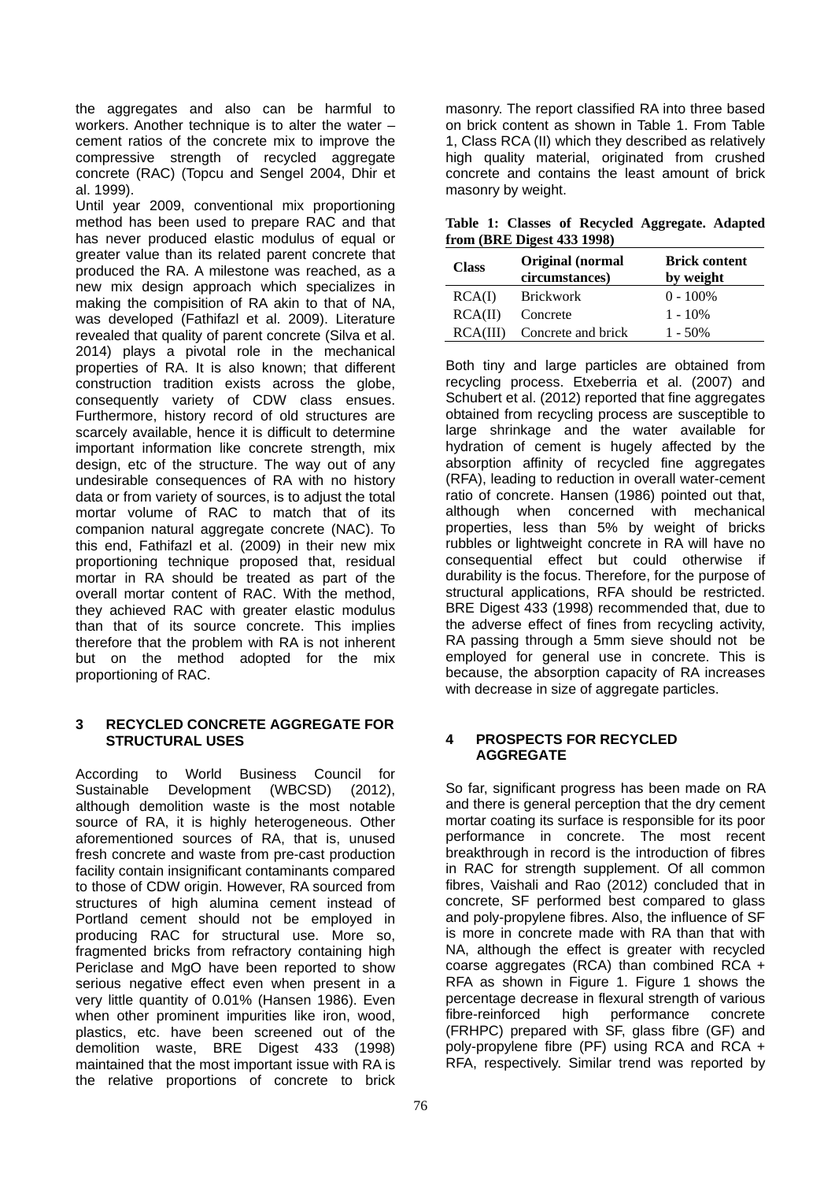the aggregates and also can be harmful to workers. Another technique is to alter the water – cement ratios of the concrete mix to improve the compressive strength of recycled aggregate concrete (RAC) (Topcu and Sengel 2004, Dhir et al. 1999).

Until year 2009, conventional mix proportioning method has been used to prepare RAC and that has never produced elastic modulus of equal or greater value than its related parent concrete that produced the RA. A milestone was reached, as a new mix design approach which specializes in making the compisition of RA akin to that of NA, was developed (Fathifazl et al. 2009). Literature revealed that quality of parent concrete (Silva et al. 2014) plays a pivotal role in the mechanical properties of RA. It is also known; that different construction tradition exists across the globe, consequently variety of CDW class ensues. Furthermore, history record of old structures are scarcely available, hence it is difficult to determine important information like concrete strength, mix design, etc of the structure. The way out of any undesirable consequences of RA with no history data or from variety of sources, is to adjust the total mortar volume of RAC to match that of its companion natural aggregate concrete (NAC). To this end, Fathifazl et al. (2009) in their new mix proportioning technique proposed that, residual mortar in RA should be treated as part of the overall mortar content of RAC. With the method, they achieved RAC with greater elastic modulus than that of its source concrete. This implies therefore that the problem with RA is not inherent but on the method adopted for the mix proportioning of RAC.

### **3 RECYCLED CONCRETE AGGREGATE FOR STRUCTURAL USES**

According to World Business Council for Sustainable Development (WBCSD) (2012), although demolition waste is the most notable source of RA, it is highly heterogeneous. Other aforementioned sources of RA, that is, unused fresh concrete and waste from pre-cast production facility contain insignificant contaminants compared to those of CDW origin. However, RA sourced from structures of high alumina cement instead of Portland cement should not be employed in producing RAC for structural use. More so, fragmented bricks from refractory containing high Periclase and MgO have been reported to show serious negative effect even when present in a very little quantity of 0.01% (Hansen 1986). Even when other prominent impurities like iron, wood, plastics, etc. have been screened out of the demolition waste, BRE Digest 433 (1998) maintained that the most important issue with RA is the relative proportions of concrete to brick

masonry. The report classified RA into three based on brick content as shown in Table 1. From Table 1, Class RCA (II) which they described as relatively high quality material, originated from crushed concrete and contains the least amount of brick masonry by weight.

**Table 1: Classes of Recycled Aggregate. Adapted from (BRE Digest 433 1998)**

| <b>Class</b> | <b>Original</b> (normal<br>circumstances) | <b>Brick content</b><br>by weight |
|--------------|-------------------------------------------|-----------------------------------|
| RCA(I)       | <b>Brickwork</b>                          | $0 - 100\%$                       |
| RCA(II)      | Concrete                                  | $1 - 10\%$                        |
| RCA(III)     | Concrete and brick                        | $1 - 50\%$                        |

Both tiny and large particles are obtained from recycling process. Etxeberria et al. (2007) and Schubert et al. (2012) reported that fine aggregates obtained from recycling process are susceptible to large shrinkage and the water available for hydration of cement is hugely affected by the absorption affinity of recycled fine aggregates (RFA), leading to reduction in overall water-cement ratio of concrete. Hansen (1986) pointed out that, although when concerned with mechanical properties, less than 5% by weight of bricks rubbles or lightweight concrete in RA will have no consequential effect but could otherwise if durability is the focus. Therefore, for the purpose of structural applications, RFA should be restricted. BRE Digest 433 (1998) recommended that, due to the adverse effect of fines from recycling activity, RA passing through a 5mm sieve should not be employed for general use in concrete. This is because, the absorption capacity of RA increases with decrease in size of aggregate particles.

### **4 PROSPECTS FOR RECYCLED AGGREGATE**

So far, significant progress has been made on RA and there is general perception that the dry cement mortar coating its surface is responsible for its poor performance in concrete. The most recent breakthrough in record is the introduction of fibres in RAC for strength supplement. Of all common fibres, Vaishali and Rao (2012) concluded that in concrete, SF performed best compared to glass and poly-propylene fibres. Also, the influence of SF is more in concrete made with RA than that with NA, although the effect is greater with recycled coarse aggregates (RCA) than combined RCA + RFA as shown in Figure 1. Figure 1 shows the percentage decrease in flexural strength of various fibre-reinforced high performance concrete (FRHPC) prepared with SF, glass fibre (GF) and poly-propylene fibre (PF) using RCA and RCA + RFA, respectively. Similar trend was reported by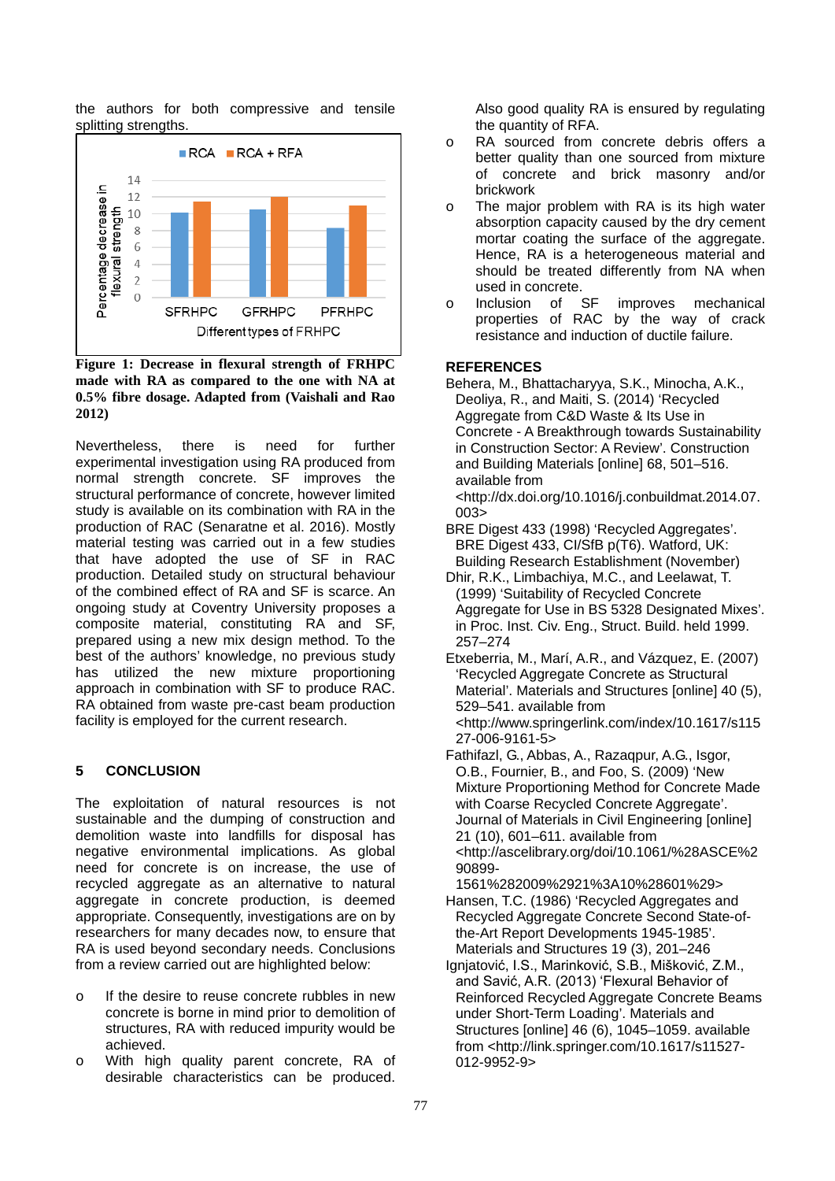the authors for both compressive and tensile splitting strengths.



**Figure 1: Decrease in flexural strength of FRHPC made with RA as compared to the one with NA at 0.5% fibre dosage. Adapted from (Vaishali and Rao 2012)**

Nevertheless, there is need for further experimental investigation using RA produced from normal strength concrete. SF improves the structural performance of concrete, however limited study is available on its combination with RA in the production of RAC (Senaratne et al. 2016). Mostly material testing was carried out in a few studies that have adopted the use of SF in RAC production. Detailed study on structural behaviour of the combined effect of RA and SF is scarce. An ongoing study at Coventry University proposes a composite material, constituting RA and SF, prepared using a new mix design method. To the best of the authors' knowledge, no previous study has utilized the new mixture proportioning approach in combination with SF to produce RAC. RA obtained from waste pre-cast beam production facility is employed for the current research.

# **5 CONCLUSION**

The exploitation of natural resources is not sustainable and the dumping of construction and demolition waste into landfills for disposal has negative environmental implications. As global need for concrete is on increase, the use of recycled aggregate as an alternative to natural aggregate in concrete production, is deemed appropriate. Consequently, investigations are on by researchers for many decades now, to ensure that RA is used beyond secondary needs. Conclusions from a review carried out are highlighted below:

- o If the desire to reuse concrete rubbles in new concrete is borne in mind prior to demolition of structures, RA with reduced impurity would be achieved.
- With high quality parent concrete, RA of desirable characteristics can be produced.

Also good quality RA is ensured by regulating the quantity of RFA.

- o RA sourced from concrete debris offers a better quality than one sourced from mixture of concrete and brick masonry and/or brickwork
- o The major problem with RA is its high water absorption capacity caused by the dry cement mortar coating the surface of the aggregate. Hence, RA is a heterogeneous material and should be treated differently from NA when used in concrete.
- o Inclusion of SF improves mechanical properties of RAC by the way of crack resistance and induction of ductile failure.

# **REFERENCES**

Behera, M., Bhattacharyya, S.K., Minocha, A.K., Deoliya, R., and Maiti, S. (2014) 'Recycled Aggregate from C&D Waste & Its Use in Concrete - A Breakthrough towards Sustainability in Construction Sector: A Review'. Construction and Building Materials [online] 68, 501–516. available from <http://dx.doi.org/10.1016/j.conbuildmat.2014.07.

 $0035$ 

- BRE Digest 433 (1998) 'Recycled Aggregates'. BRE Digest 433, CI/SfB p(T6). Watford, UK: Building Research Establishment (November)
- Dhir, R.K., Limbachiya, M.C., and Leelawat, T. (1999) 'Suitability of Recycled Concrete Aggregate for Use in BS 5328 Designated Mixes'. in Proc. Inst. Civ. Eng., Struct. Build. held 1999. 257–274
- Etxeberria, M., Marí, A.R., and Vázquez, E. (2007) 'Recycled Aggregate Concrete as Structural Material'. Materials and Structures [online] 40 (5), 529–541. available from <http://www.springerlink.com/index/10.1617/s115 27-006-9161-5>
- Fathifazl, G., Abbas, A., Razaqpur, A.G., Isgor, O.B., Fournier, B., and Foo, S. (2009) 'New Mixture Proportioning Method for Concrete Made with Coarse Recycled Concrete Aggregate'. Journal of Materials in Civil Engineering [online] 21 (10), 601–611. available from <http://ascelibrary.org/doi/10.1061/%28ASCE%2 90899-
- 1561%282009%2921%3A10%28601%29> Hansen, T.C. (1986) 'Recycled Aggregates and Recycled Aggregate Concrete Second State-ofthe-Art Report Developments 1945-1985'. Materials and Structures 19 (3), 201–246
- Ignjatović, I.S., Marinković, S.B., Mišković, Z.M., and Savić, A.R. (2013) 'Flexural Behavior of Reinforced Recycled Aggregate Concrete Beams under Short-Term Loading'. Materials and Structures [online] 46 (6), 1045–1059. available from <http://link.springer.com/10.1617/s11527- 012-9952-9>